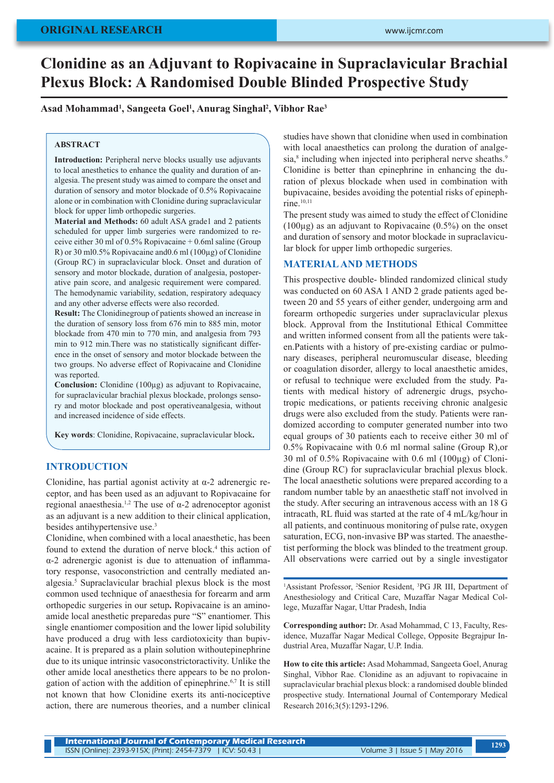# **Clonidine as an Adjuvant to Ropivacaine in Supraclavicular Brachial Plexus Block: A Randomised Double Blinded Prospective Study**

**Asad Mohammad1 , Sangeeta Goel1 , Anurag Singhal2 , Vibhor Rae3**

#### **ABSTRACT**

**Introduction:** Peripheral nerve blocks usually use adjuvants to local anesthetics to enhance the quality and duration of analgesia. The present study was aimed to compare the onset and duration of sensory and motor blockade of 0.5% Ropivacaine alone or in combination with Clonidine during supraclavicular block for upper limb orthopedic surgeries.

**Material and Methods:** 60 adult ASA grade1 and 2 patients scheduled for upper limb surgeries were randomized to receive either 30 ml of 0.5% Ropivacaine + 0.6ml saline (Group R) or 30 ml0.5% Ropivacaine and0.6 ml (100µg) of Clonidine (Group RC) in supraclavicular block. Onset and duration of sensory and motor blockade, duration of analgesia, postoperative pain score, and analgesic requirement were compared. The hemodynamic variability, sedation, respiratory adequacy and any other adverse effects were also recorded.

**Result:** The Clonidinegroup of patients showed an increase in the duration of sensory loss from 676 min to 885 min, motor blockade from 470 min to 770 min, and analgesia from 793 min to 912 min.There was no statistically significant difference in the onset of sensory and motor blockade between the two groups. No adverse effect of Ropivacaine and Clonidine was reported.

**Conclusion:** Clonidine (100µg) as adjuvant to Ropivacaine, for supraclavicular brachial plexus blockade, prolongs sensory and motor blockade and post operativeanalgesia, without and increased incidence of side effects.

**Key words**: Clonidine, Ropivacaine, supraclavicular block**.**

## **INTRODUCTION**

Clonidine, has partial agonist activity at  $\alpha$ -2 adrenergic receptor, and has been used as an adjuvant to Ropivacaine for regional anaesthesia.1,2 The use of α-2 adrenoceptor agonist as an adjuvant is a new addition to their clinical application, besides antihypertensive use.3

Clonidine, when combined with a local anaesthetic, has been found to extend the duration of nerve block.<sup>4</sup> this action of α-2 adrenergic agonist is due to attenuation of inflammatory response, vasoconstriction and centrally mediated analgesia.5 Supraclavicular brachial plexus block is the most common used technique of anaesthesia for forearm and arm orthopedic surgeries in our setup**.** Ropivacaine is an aminoamide local anesthetic preparedas pure "S" enantiomer. This single enantiomer composition and the lower lipid solubility have produced a drug with less cardiotoxicity than bupivacaine. It is prepared as a plain solution withoutepinephrine due to its unique intrinsic vasoconstrictoractivity. Unlike the other amide local anesthetics there appears to be no prolongation of action with the addition of epinephrine.<sup>6,7</sup> It is still not known that how Clonidine exerts its anti-nociceptive action, there are numerous theories, and a number clinical

studies have shown that clonidine when used in combination with local anaesthetics can prolong the duration of analgesia,<sup>8</sup> including when injected into peripheral nerve sheaths.<sup>9</sup> Clonidine is better than epinephrine in enhancing the duration of plexus blockade when used in combination with bupivacaine, besides avoiding the potential risks of epinephrine.<sup>10,11</sup>

The present study was aimed to study the effect of Clonidine  $(100\mu$ g) as an adjuvant to Ropivacaine  $(0.5\%)$  on the onset and duration of sensory and motor blockade in supraclavicular block for upper limb orthopedic surgeries.

## **MATERIAL AND METHODS**

This prospective double- blinded randomized clinical study was conducted on 60 ASA 1 AND 2 grade patients aged between 20 and 55 years of either gender, undergoing arm and forearm orthopedic surgeries under supraclavicular plexus block. Approval from the Institutional Ethical Committee and written informed consent from all the patients were taken.Patients with a history of pre-existing cardiac or pulmonary diseases, peripheral neuromuscular disease, bleeding or coagulation disorder, allergy to local anaesthetic amides, or refusal to technique were excluded from the study. Patients with medical history of adrenergic drugs, psychotropic medications, or patients receiving chronic analgesic drugs were also excluded from the study. Patients were randomized according to computer generated number into two equal groups of 30 patients each to receive either 30 ml of 0.5% Ropivacaine with 0.6 ml normal saline (Group R),or 30 ml of 0.5% Ropivacaine with 0.6 ml (100µg) of Clonidine (Group RC) for supraclavicular brachial plexus block. The local anaesthetic solutions were prepared according to a random number table by an anaesthetic staff not involved in the study. After securing an intravenous access with an 18 G intracath, RL fluid was started at the rate of 4 mL/kg/hour in all patients, and continuous monitoring of pulse rate, oxygen saturation, ECG, non-invasive BP was started. The anaesthetist performing the block was blinded to the treatment group. All observations were carried out by a single investigator

<sup>1</sup>Assistant Professor, <sup>2</sup>Senior Resident, <sup>3</sup>PG JR III, Department of Anesthesiology and Critical Care, Muzaffar Nagar Medical College, Muzaffar Nagar, Uttar Pradesh, India

**Corresponding author:** Dr. Asad Mohammad, C 13, Faculty, Residence, Muzaffar Nagar Medical College, Opposite Begrajpur Industrial Area, Muzaffar Nagar, U.P. India.

**How to cite this article:** Asad Mohammad, Sangeeta Goel, Anurag Singhal, Vibhor Rae. Clonidine as an adjuvant to ropivacaine in supraclavicular brachial plexus block: a randomised double blinded prospective study. International Journal of Contemporary Medical Research 2016;3(5):1293-1296.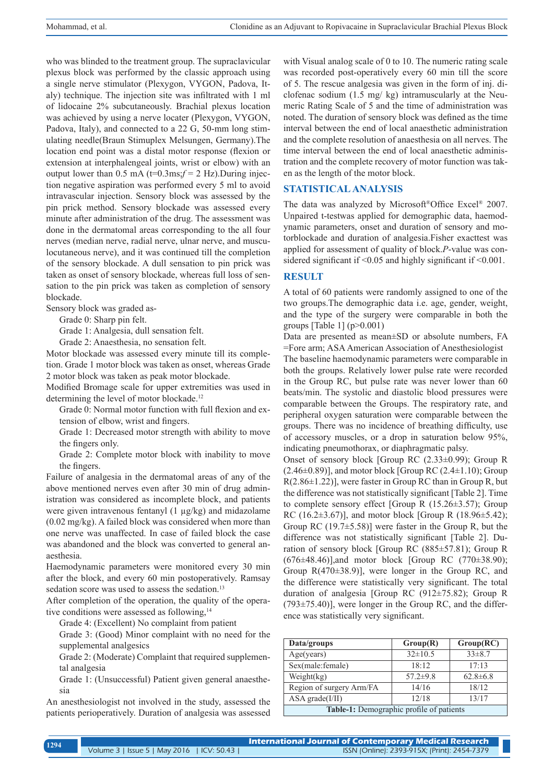who was blinded to the treatment group. The supraclavicular plexus block was performed by the classic approach using a single nerve stimulator (Plexygon, VYGON, Padova, Italy) technique. The injection site was infiltrated with 1 ml of lidocaine 2% subcutaneously. Brachial plexus location was achieved by using a nerve locater (Plexygon, VYGON, Padova, Italy), and connected to a 22 G, 50-mm long stimulating needle(Braun Stimuplex Melsungen, Germany).The location end point was a distal motor response (flexion or extension at interphalengeal joints, wrist or elbow) with an output lower than  $0.5 \text{ mA}$  (t=0.3ms; $f = 2 \text{ Hz}$ ). During injection negative aspiration was performed every 5 ml to avoid intravascular injection. Sensory block was assessed by the pin prick method. Sensory blockade was assessed every minute after administration of the drug. The assessment was done in the dermatomal areas corresponding to the all four nerves (median nerve, radial nerve, ulnar nerve, and musculocutaneous nerve), and it was continued till the completion of the sensory blockade. A dull sensation to pin prick was taken as onset of sensory blockade, whereas full loss of sensation to the pin prick was taken as completion of sensory blockade.

Sensory block was graded as-

Grade 0: Sharp pin felt.

Grade 1: Analgesia, dull sensation felt.

Grade 2: Anaesthesia, no sensation felt.

Motor blockade was assessed every minute till its completion. Grade 1 motor block was taken as onset, whereas Grade 2 motor block was taken as peak motor blockade.

Modified Bromage scale for upper extremities was used in determining the level of motor blockade.<sup>12</sup>

Grade 0: Normal motor function with full flexion and extension of elbow, wrist and fingers.

Grade 1: Decreased motor strength with ability to move the fingers only.

Grade 2: Complete motor block with inability to move the fingers.

Failure of analgesia in the dermatomal areas of any of the above mentioned nerves even after 30 min of drug administration was considered as incomplete block, and patients were given intravenous fentanyl (1 µg/kg) and midazolame (0.02 mg/kg). A failed block was considered when more than one nerve was unaffected. In case of failed block the case was abandoned and the block was converted to general anaesthesia.

Haemodynamic parameters were monitored every 30 min after the block, and every 60 min postoperatively. Ramsay sedation score was used to assess the sedation.<sup>13</sup>

After completion of the operation, the quality of the operative conditions were assessed as following,<sup>14</sup>

Grade 4: (Excellent) No complaint from patient

Grade 3: (Good) Minor complaint with no need for the supplemental analgesics

Grade 2: (Moderate) Complaint that required supplemental analgesia

Grade 1: (Unsuccessful) Patient given general anaesthesia

An anesthesiologist not involved in the study, assessed the patients perioperatively. Duration of analgesia was assessed with Visual analog scale of 0 to 10. The numeric rating scale was recorded post-operatively every 60 min till the score of 5. The rescue analgesia was given in the form of inj. diclofenac sodium (1.5 mg/ kg) intramuscularly at the Neumeric Rating Scale of 5 and the time of administration was noted. The duration of sensory block was defined as the time interval between the end of local anaesthetic administration and the complete resolution of anaesthesia on all nerves. The time interval between the end of local anaesthetic administration and the complete recovery of motor function was taken as the length of the motor block.

#### **STATISTICAL ANALYSIS**

The data was analyzed by Microsoft®Office Excel® 2007. Unpaired t-testwas applied for demographic data, haemodynamic parameters, onset and duration of sensory and motorblockade and duration of analgesia.Fisher exacttest was applied for assessment of quality of block.*P*-value was considered significant if  $\leq 0.05$  and highly significant if  $\leq 0.001$ .

## **RESULT**

A total of 60 patients were randomly assigned to one of the two groups.The demographic data i.e. age, gender, weight, and the type of the surgery were comparable in both the groups [Table 1]  $(p>0.001)$ 

Data are presented as mean±SD or absolute numbers, FA =Fore arm; ASA American Association of Anesthesiologist The baseline haemodynamic parameters were comparable in both the groups. Relatively lower pulse rate were recorded in the Group RC, but pulse rate was never lower than 60 beats/min. The systolic and diastolic blood pressures were comparable between the Groups. The respiratory rate, and peripheral oxygen saturation were comparable between the groups. There was no incidence of breathing difficulty, use of accessory muscles, or a drop in saturation below 95%, indicating pneumothorax, or diaphragmatic palsy.

Onset of sensory block [Group RC (2.33±0.99); Group R  $(2.46\pm0.89)$ ], and motor block [Group RC  $(2.4\pm1.10)$ ; Group R(2.86±1.22)], were faster in Group RC than in Group R, but the difference was not statistically significant [Table 2]. Time to complete sensory effect [Group R (15.26±3.57); Group RC (16.2 $\pm$ 3.67)], and motor block [Group R (18.96 $\pm$ 5.42); Group RC  $(19.7\pm 5.58)$ ] were faster in the Group R, but the difference was not statistically significant [Table 2]. Duration of sensory block [Group RC (885±57.81); Group R  $(676\pm48.46)$ ], and motor block [Group RC (770 $\pm$ 38.90); Group  $R(470\pm38.9)$ , were longer in the Group RC, and the difference were statistically very significant. The total duration of analgesia [Group RC (912±75.82); Group R  $(793\pm75.40)$ ], were longer in the Group RC, and the difference was statistically very significant.

| Data/groups                              | Group(R)       | Group(RC)      |  |
|------------------------------------------|----------------|----------------|--|
| Age(vears)                               | $32\pm10.5$    | $33\pm8.7$     |  |
| Sex(male:female)                         | 18:12          | 17.13          |  |
| Weight $(kg)$                            | $57.2 \pm 9.8$ | $62.8 \pm 6.8$ |  |
| Region of surgery Arm/FA                 | 14/16          | 18/12          |  |
| $ASA \, grade(I/II)$                     | 12/18          | 13/17          |  |
| Table-1: Demographic profile of patients |                |                |  |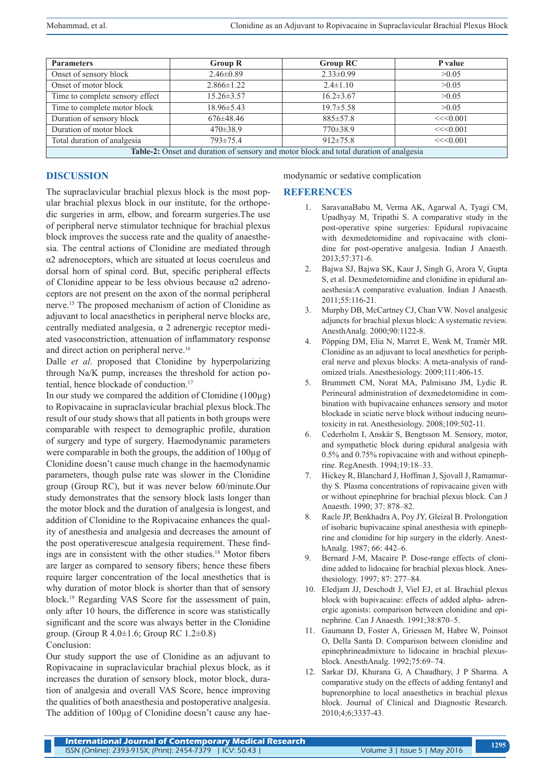| <b>Parameters</b>                                                                      | <b>Group R</b>   | <b>Group RC</b> | P value |
|----------------------------------------------------------------------------------------|------------------|-----------------|---------|
| Onset of sensory block                                                                 | $2.46\pm0.89$    | $2.33 \pm 0.99$ | >0.05   |
| Onset of motor block                                                                   | $2.866 \pm 1.22$ | $2.4 \pm 1.10$  | >0.05   |
| Time to complete sensory effect                                                        | $15.26 \pm 3.57$ | $16.2 \pm 3.67$ | >0.05   |
| Time to complete motor block                                                           | $18.96 \pm 5.43$ | $19.7 \pm 5.58$ | >0.05   |
| Duration of sensory block                                                              | $676 \pm 48.46$  | $885 \pm 57.8$  | <<0.001 |
| Duration of motor block                                                                | $470 \pm 38.9$   | $770 \pm 38.9$  | <<0.001 |
| Total duration of analgesia                                                            | $793 \pm 75.4$   | $912\pm 75.8$   | <<0.001 |
| Table-2: Onset and duration of sensory and motor block and total duration of analgesia |                  |                 |         |

## **DISCUSSION**

The supraclavicular brachial plexus block is the most popular brachial plexus block in our institute, for the orthopedic surgeries in arm, elbow, and forearm surgeries.The use of peripheral nerve stimulator technique for brachial plexus block improves the success rate and the quality of anaesthesia. The central actions of Clonidine are mediated through α2 adrenoceptors, which are situated at locus coeruleus and dorsal horn of spinal cord. But, specific peripheral effects of Clonidine appear to be less obvious because α2 adrenoceptors are not present on the axon of the normal peripheral nerve.15 The proposed mechanism of action of Clonidine as adjuvant to local anaesthetics in peripheral nerve blocks are, centrally mediated analgesia, α 2 adrenergic receptor mediated vasoconstriction, attenuation of inflammatory response and direct action on peripheral nerve.<sup>16</sup>

Dalle *et al*. proposed that Clonidine by hyperpolarizing through Na/K pump, increases the threshold for action potential, hence blockade of conduction.<sup>17</sup>

In our study we compared the addition of Clonidine  $(100\mu g)$ to Ropivacaine in supraclavicular brachial plexus block.The result of our study shows that all patients in both groups were comparable with respect to demographic profile, duration of surgery and type of surgery. Haemodynamic parameters were comparable in both the groups, the addition of 100µg of Clonidine doesn't cause much change in the haemodynamic parameters, though pulse rate was slower in the Clonidine group (Group RC), but it was never below 60/minute.Our study demonstrates that the sensory block lasts longer than the motor block and the duration of analgesia is longest, and addition of Clonidine to the Ropivacaine enhances the quality of anesthesia and analgesia and decreases the amount of the post operativerescue analgesia requirement. These findings are in consistent with the other studies.18 Motor fibers are larger as compared to sensory fibers; hence these fibers require larger concentration of the local anesthetics that is why duration of motor block is shorter than that of sensory block.19 Regarding VAS Score for the assessment of pain, only after 10 hours, the difference in score was statistically significant and the score was always better in the Clonidine group. (Group R  $4.0 \pm 1.6$ ; Group RC  $1.2 \pm 0.8$ ) Conclusion:

Our study support the use of Clonidine as an adjuvant to Ropivacaine in supraclavicular brachial plexus block, as it increases the duration of sensory block, motor block, duration of analgesia and overall VAS Score, hence improving the qualities of both anaesthesia and postoperative analgesia. The addition of 100µg of Clonidine doesn't cause any haemodynamic or sedative complication

#### **REFERENCES**

- 1. SaravanaBabu M, Verma AK, Agarwal A, Tyagi CM, Upadhyay M, Tripathi S. A comparative study in the post-operative spine surgeries: Epidural ropivacaine with dexmedetomidine and ropivacaine with clonidine for post-operative analgesia. Indian J Anaesth. 2013;57:371-6.
- 2. Bajwa SJ, Bajwa SK, Kaur J, Singh G, Arora V, Gupta S, et al. Dexmedetomidine and clonidine in epidural anaesthesia:A comparative evaluation. Indian J Anaesth. 2011;55:116-21.
- 3. Murphy DB, McCartney CJ, Chan VW. Novel analgesic adjuncts for brachial plexus block: A systematic review. AnesthAnalg. 2000;90:1122-8.
- 4. Pöpping DM, Elia N, Marret E, Wenk M, Tramèr MR. Clonidine as an adjuvant to local anesthetics for peripheral nerve and plexus blocks: A meta-analysis of randomized trials. Anesthesiology. 2009;111:406-15.
- 5. Brummett CM, Norat MA, Palmisano JM, Lydic R. Perineural administration of dexmedetomidine in combination with bupivacaine enhances sensory and motor blockade in sciatic nerve block without inducing neurotoxicity in rat. Anesthesiology. 2008;109:502-11.
- 6. Cederholm I, Anskär S, Bengtsson M. Sensory, motor, and sympathetic block during epidural analgesia with 0.5% and 0.75% ropivacaine with and without epinephrine. RegAnesth. 1994;19:18–33.
- 7. Hickey R, Blanchard J, Hoffman J, Sjovall J, Ramamurthy S. Plasma concentrations of ropivacaine given with or without epinephrine for brachial plexus block. Can J Anaesth. 1990; 37: 878–82.
- 8. Racle JP, Benkhadra A, Poy JY, Gleizal B. Prolongation of isobaric bupivacaine spinal anesthesia with epinephrine and clonidine for hip surgery in the elderly. AnesthAnalg. 1987; 66: 442–6.
- 9. Bernard J-M, Macaire P. Dose-range effects of clonidine added to lidocaine for brachial plexus block. Anesthesiology. 1997; 87: 277–84.
- 10. Eledjam JJ, Deschodt J, Viel EJ, et al. Brachial plexus block with bupivacaine: effects of added alpha- adrenergic agonists: comparison between clonidine and epinephrine. Can J Anaesth. 1991;38:870–5.
- 11. Gaumann D, Foster A, Griessen M, Habre W, Poinsot O, Della Santa D. Comparison between clonidine and epinephrineadmixture to lidocaine in brachial plexusblock. AnesthAnalg. 1992;75:69–74.
- 12. Sarkar DJ, Khurana G, A Chaudhary, J P Sharma. A comparative study on the effects of adding fentanyl and buprenorphine to local anaesthetics in brachial plexus block. Journal of Clinical and Diagnostic Research. 2010;4;6;3337-43.